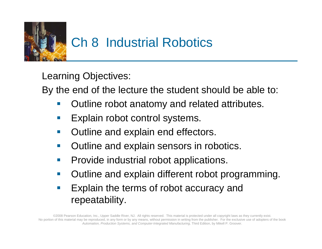

Learning Objectives:

By the end of the lecture the student should be able to:

- Outline robot anatomy and related attributes.
- Explain robot control systems.
- $\sim$ Outline and explain end effectors.
- Outline and explain sensors in robotics.
- Provide industrial robot applications.
- Outline and explain different robot programming.
- Explain the terms of robot accuracy and repeatability.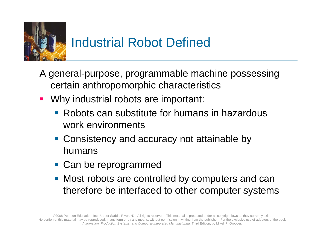

## Industrial Robot Defined

- A general-purpose, programmable machine possessing certain anthropomorphic characteristics
- **Why industrial robots are important:** 
	- **Robots can substitute for humans in hazardous** work environments
	- **Consistency and accuracy not attainable by** humans
	- **Can be reprogrammed**
	- **Most robots are controlled by computers and can** therefore be interfaced to other computer systems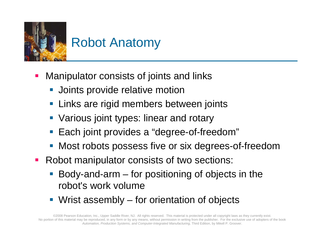

#### Robot Anatomy

- **Service Service**  Manipulator consists of joints and links
	- **Joints provide relative motion**
	- **EXTE: Links are rigid members between joints**
	- **Various joint types: linear and rotary**
	- **Each joint provides a "degree-of-freedom"**
	- **Most robots possess five or six degrees-of-freedom**
- $\mathcal{L}_{\mathrm{max}}$  Robot manipulator consists of two sections:
	- Body-and-arm for positioning of objects in the robot's work volume
	- **Wrist assembly for orientation of objects**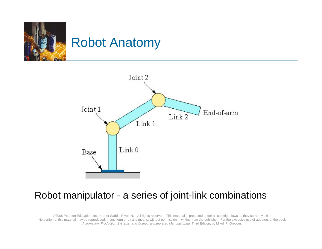



#### Robot manipulator - a series of joint-link combinations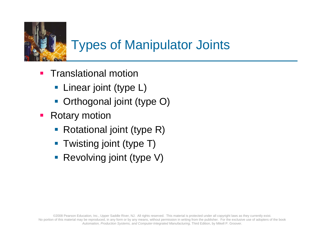

## Types of Manipulator Joints

- **Translational motion** 
	- **-** Linear joint (type L)
	- **Orthogonal joint (type O)**
- **Rotary motion** 
	- Rotational joint (type R)
	- **Twisting joint (type T)**
	- **Revolving joint (type V)**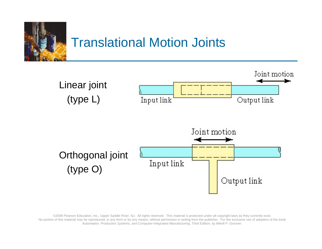

#### Translational Motion Joints

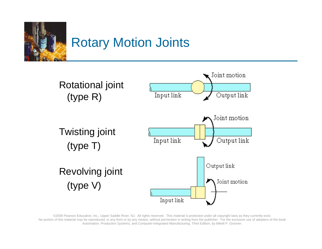

## Rotary Motion Joints

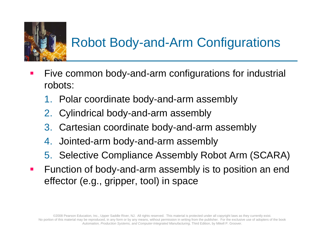

# Robot Body-and-Arm Configurations

- **Service Service**  Five common body-and-arm configurations for industrial robots:
	- 1. Polar coordinate body-and-arm assembly
	- 2. Cylindrical body-and-arm assembly
	- 3. Cartesian coordinate body-and-arm assembly
	- 4. Jointed-arm body-and-arm assembly
	- 5. Selective Compliance Assembly Robot Arm (SCARA)
- Function of body-and-arm assembly is to position an end effector (e.g., gripper, tool) in space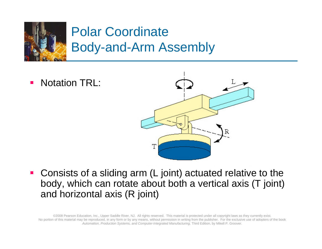

## Polar Coordinate Body-and-Arm Assembly

T. Notation TRL:



■ Consists of a sliding arm (L joint) actuated relative to the body, which can rotate about both a vertical axis (T joint) and horizontal axis (R joint)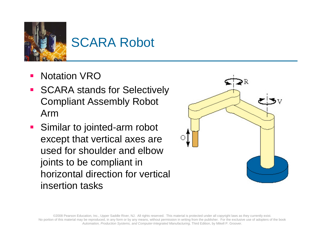

## SCARA Robot

- **Service Service** Notation VRO
- **SCARA stands for Selectively** Compliant Assembly Robot Arm
- **Similar to jointed-arm robot** except that vertical axes are used for shoulder and elbow joints to be compliant in horizontal direction for vertical insertion tasks

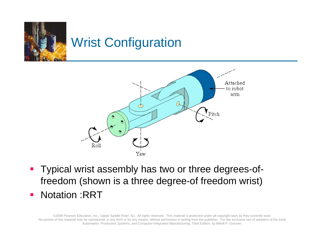

## Wrist Configuration



- Typical wrist assembly has two or three degrees-offreedom (shown is a three degree-of freedom wrist)
- Notation :RRT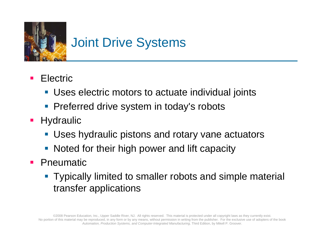

#### Joint Drive Systems

- **Service Service**  Electric
	- **Uses electric motors to actuate individual joints**
	- **Preferred drive system in today's robots**
- **Hydraulic** 
	- Uses hydraulic pistons and rotary vane actuators
	- **Noted for their high power and lift capacity**
- **•** Pneumatic
	- **Typically limited to smaller robots and simple material** transfer applications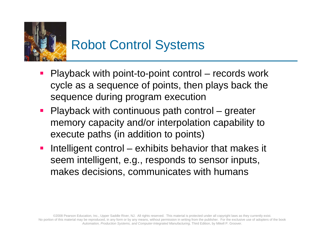

- Playback with point-to-point control records work cycle as a sequence of points, then plays back the sequence during program execution
- **Playback with continuous path control greater** memory capacity and/or interpolation capability to execute paths (in addition to points)
- Intelligent control exhibits behavior that makes it seem intelligent, e.g., responds to sensor inputs, makes decisions, communicates with humans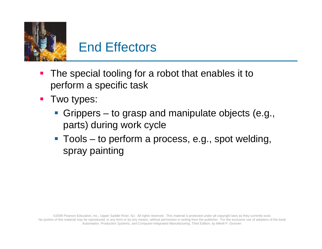

#### End Effectors

- The special tooling for a robot that enables it to perform a specific task
- **Two types:** 
	- Grippers to grasp and manipulate objects (e.g., parts) during work cycle
	- Tools to perform a process, e.g., spot welding, spray painting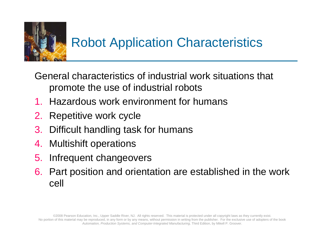

General characteristics of industrial work situations that promote the use of industrial robots

- 1. Hazardous work environment for humans
- 2. Repetitive work cycle
- 3. Difficult handling task for humans
- 4. Multishift operations
- 5. Infrequent changeovers
- 6. Part position and orientation are established in the work cell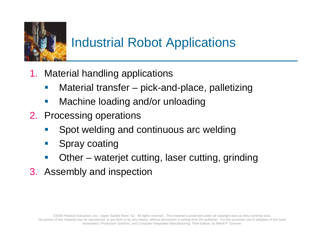

## Industrial Robot Applications

- 1. Material handling applications
	- **Service Service** Material transfer – pick-and-place, palletizing
	- $\sim$ Machine loading and/or unloading
- 2. Processing operations
	- Spot welding and continuous arc welding
	- $\mathcal{L}^{\text{max}}$ Spray coating
	- $\mathcal{L}_{\mathcal{A}}$ Other – waterjet cutting, laser cutting, grinding
- 3. Assembly and inspection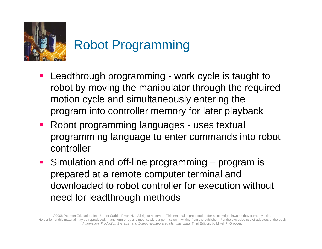

- **Service Service**  Leadthrough programming - work cycle is taught to robot by moving the manipulator through the required motion cycle and simultaneously entering the program into controller memory for later playback
- **Robot programming languages uses textual** programming language to enter commands into robot controller
- Simulation and off-line programming program is prepared at a remote computer terminal and downloaded to robot controller for execution without need for leadthrough methods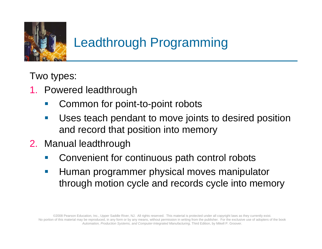

## Leadthrough Programming

Two types:

- 1. Powered leadthrough
	- Common for point-to-point robots
	- $\mathcal{L}(\mathcal{A})$  Uses teach pendant to move joints to desired position and record that position into memory
- 2. Manual leadthrough
	- Convenient for continuous path control robots
	- $\mathcal{L}_{\mathcal{A}}$  Human programmer physical moves manipulator through motion cycle and records cycle into memory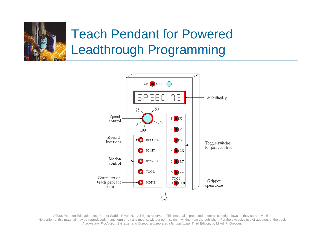

## Teach Pendant for Powered Leadthrough Programming